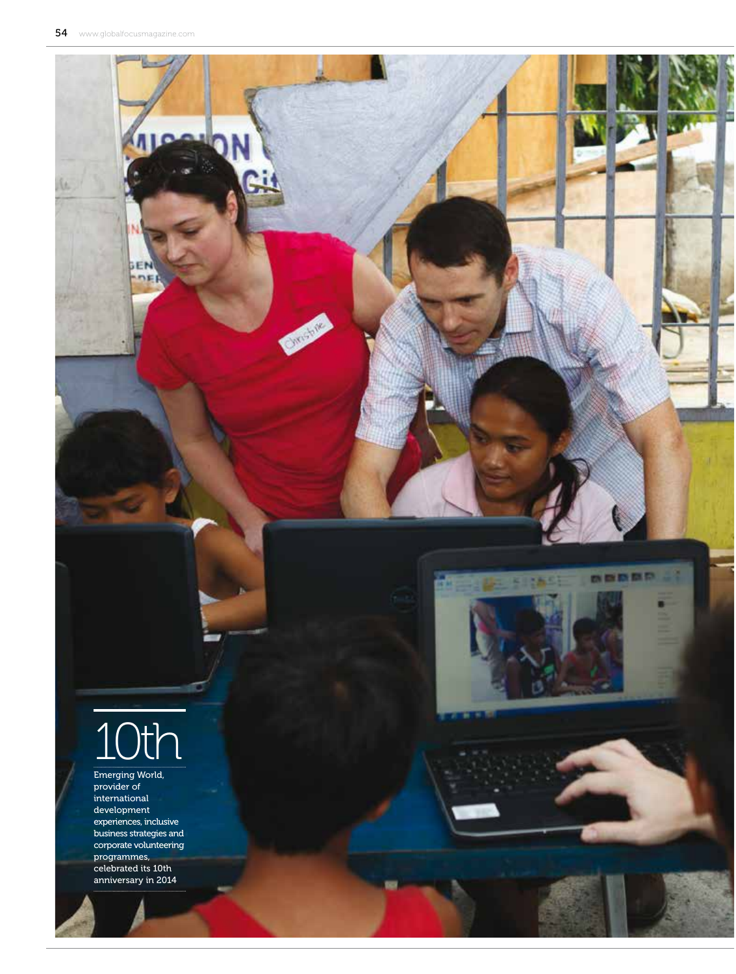EI

u



# 10th

Emerging World, provider of international development experiences, inclusive business strategies and corporate volunteering programmes, celebrated its 10th anniversary in 2014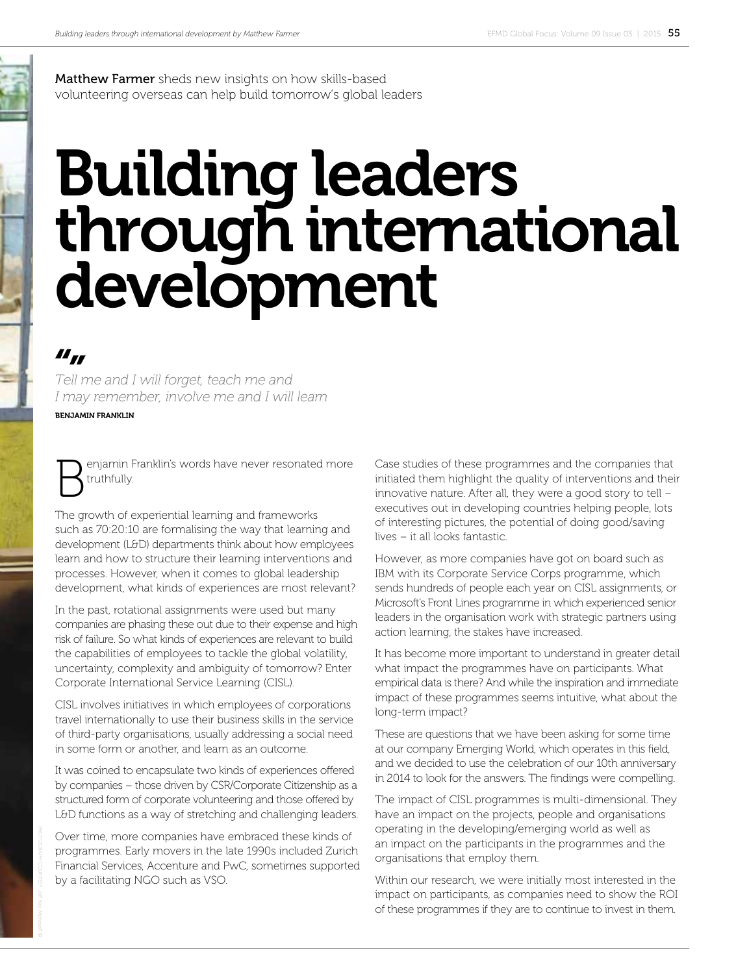Matthew Farmer sheds new insights on how skills-based volunteering overseas can help build tomorrow's global leaders

## Building leaders through international development

### $II_{II}$

*Tell me and I will forget, teach me and I may remember, involve me and I will learn* 

BENJAMIN FRANKLIN

enjamin Franklin's words have never resonated more truthfully.

The growth of experiential learning and frameworks such as 70:20:10 are formalising the way that learning and development (L&D) departments think about how employees learn and how to structure their learning interventions and processes. However, when it comes to global leadership development, what kinds of experiences are most relevant?

In the past, rotational assignments were used but many companies are phasing these out due to their expense and high risk of failure. So what kinds of experiences are relevant to build the capabilities of employees to tackle the global volatility, uncertainty, complexity and ambiguity of tomorrow? Enter Corporate International Service Learning (CISL).

CISL involves initiatives in which employees of corporations travel internationally to use their business skills in the service of third-party organisations, usually addressing a social need in some form or another, and learn as an outcome.

It was coined to encapsulate two kinds of experiences offered by companies – those driven by CSR/Corporate Citizenship as a structured form of corporate volunteering and those offered by L&D functions as a way of stretching and challenging leaders.

Over time, more companies have embraced these kinds of programmes. Early movers in the late 1990s included Zurich Financial Services, Accenture and PwC, sometimes supported by a facilitating NGO such as VSO.

Case studies of these programmes and the companies that initiated them highlight the quality of interventions and their innovative nature. After all, they were a good story to tell – executives out in developing countries helping people, lots of interesting pictures, the potential of doing good/saving lives – it all looks fantastic.

However, as more companies have got on board such as IBM with its Corporate Service Corps programme, which sends hundreds of people each year on CISL assignments, or Microsoft's Front Lines programme in which experienced senior leaders in the organisation work with strategic partners using action learning, the stakes have increased.

It has become more important to understand in greater detail what impact the programmes have on participants. What empirical data is there? And while the inspiration and immediate impact of these programmes seems intuitive, what about the long-term impact?

These are questions that we have been asking for some time at our company Emerging World, which operates in this field, and we decided to use the celebration of our 10th anniversary in 2014 to look for the answers. The findings were compelling.

The impact of CISL programmes is multi-dimensional. They have an impact on the projects, people and organisations operating in the developing/emerging world as well as an impact on the participants in the programmes and the organisations that employ them.

Within our research, we were initially most interested in the impact on participants, as companies need to show the ROI of these programmes if they are to continue to invest in them.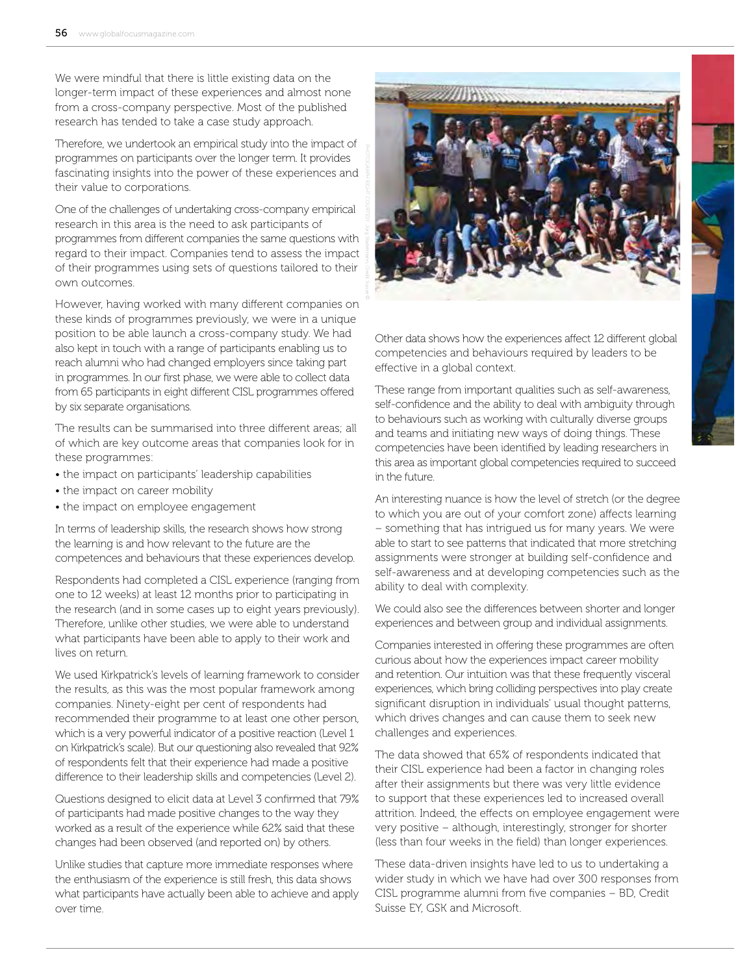We were mindful that there is little existing data on the longer-term impact of these experiences and almost none from a cross-company perspective. Most of the published research has tended to take a case study approach.

Therefore, we undertook an empirical study into the impact of programmes on participants over the longer term. It provides fascinating insights into the power of these experiences and their value to corporations.

One of the challenges of undertaking cross-company empirical research in this area is the need to ask participants of programmes from diferent companies the same questions with regard to their impact. Companies tend to assess the impact of their programmes using sets of questions tailored to their own outcomes.

However, having worked with many diferent companies on these kinds of programmes previously, we were in a unique position to be able launch a cross-company study. We had also kept in touch with a range of participants enabling us to reach alumni who had changed employers since taking part in programmes. In our first phase, we were able to collect data from 65 participants in eight diferent CISL programmes ofered by six separate organisations.

The results can be summarised into three diferent areas; all of which are key outcome areas that companies look for in these programmes:

- the impact on participants' leadership capabilities
- the impact on career mobility
- the impact on employee engagement

In terms of leadership skills, the research shows how strong the learning is and how relevant to the future are the competences and behaviours that these experiences develop.

Respondents had completed a CISL experience (ranging from one to 12 weeks) at least 12 months prior to participating in the research (and in some cases up to eight years previously). Therefore, unlike other studies, we were able to understand what participants have been able to apply to their work and lives on return.

We used Kirkpatrick's levels of learning framework to consider the results, as this was the most popular framework among companies. Ninety-eight per cent of respondents had recommended their programme to at least one other person, which is a very powerful indicator of a positive reaction (Level 1 on Kirkpatrick's scale). But our questioning also revealed that 92% of respondents felt that their experience had made a positive diference to their leadership skills and competencies (Level 2).

Questions designed to elicit data at Level 3 confirmed that 79% of participants had made positive changes to the way they worked as a result of the experience while 62% said that these changes had been observed (and reported on) by others.

Unlike studies that capture more immediate responses where the enthusiasm of the experience is still fresh, this data shows what participants have actually been able to achieve and apply over time.



Other data shows how the experiences afect 12 diferent global competencies and behaviours required by leaders to be efective in a global context.

These range from important qualities such as self-awareness, self-confidence and the ability to deal with ambiguity through to behaviours such as working with culturally diverse groups and teams and initiating new ways of doing things. These competencies have been identified by leading researchers in this area as important global competencies required to succeed in the future.

An interesting nuance is how the level of stretch (or the degree to which you are out of your comfort zone) afects learning – something that has intrigued us for many years. We were able to start to see patterns that indicated that more stretching assignments were stronger at building self-confidence and self-awareness and at developing competencies such as the ability to deal with complexity.

We could also see the diferences between shorter and longer experiences and between group and individual assignments.

Companies interested in offering these programmes are often curious about how the experiences impact career mobility and retention. Our intuition was that these frequently visceral experiences, which bring colliding perspectives into play create significant disruption in individuals' usual thought patterns, which drives changes and can cause them to seek new challenges and experiences.

The data showed that 65% of respondents indicated that their CISL experience had been a factor in changing roles after their assignments but there was very little evidence to support that these experiences led to increased overall attrition. Indeed, the effects on employee engagement were very positive – although, interestingly, stronger for shorter (less than four weeks in the field) than longer experiences.

These data-driven insights have led to us to undertaking a wider study in which we have had over 300 responses from CISL programme alumni from five companies – BD, Credit Suisse EY, GSK and Microsoft.